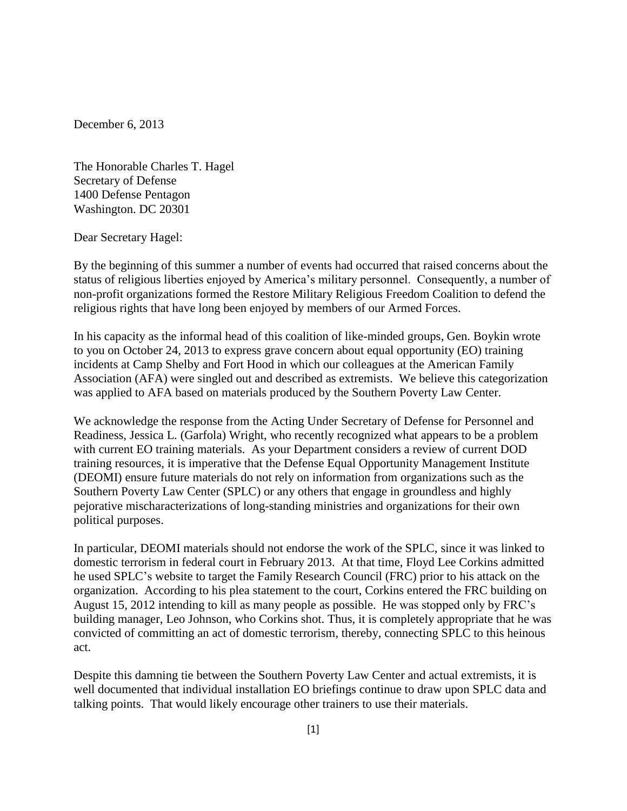December 6, 2013

The Honorable Charles T. Hagel Secretary of Defense 1400 Defense Pentagon Washington. DC 20301

Dear Secretary Hagel:

By the beginning of this summer a number of events had occurred that raised concerns about the status of religious liberties enjoyed by America's military personnel. Consequently, a number of non-profit organizations formed the Restore Military Religious Freedom Coalition to defend the religious rights that have long been enjoyed by members of our Armed Forces.

In his capacity as the informal head of this coalition of like-minded groups, Gen. Boykin wrote to you on October 24, 2013 to express grave concern about equal opportunity (EO) training incidents at Camp Shelby and Fort Hood in which our colleagues at the American Family Association (AFA) were singled out and described as extremists. We believe this categorization was applied to AFA based on materials produced by the Southern Poverty Law Center.

We acknowledge the response from the Acting Under Secretary of Defense for Personnel and Readiness, Jessica L. (Garfola) Wright, who recently recognized what appears to be a problem with current EO training materials. As your Department considers a review of current DOD training resources, it is imperative that the Defense Equal Opportunity Management Institute (DEOMI) ensure future materials do not rely on information from organizations such as the Southern Poverty Law Center (SPLC) or any others that engage in groundless and highly pejorative mischaracterizations of long-standing ministries and organizations for their own political purposes.

In particular, DEOMI materials should not endorse the work of the SPLC, since it was linked to domestic terrorism in federal court in February 2013. At that time, Floyd Lee Corkins admitted he used SPLC's website to target the Family Research Council (FRC) prior to his attack on the organization. According to his plea statement to the court, Corkins entered the FRC building on August 15, 2012 intending to kill as many people as possible. He was stopped only by FRC's building manager, Leo Johnson, who Corkins shot. Thus, it is completely appropriate that he was convicted of committing an act of domestic terrorism, thereby, connecting SPLC to this heinous act.

Despite this damning tie between the Southern Poverty Law Center and actual extremists, it is well documented that individual installation EO briefings continue to draw upon SPLC data and talking points. That would likely encourage other trainers to use their materials.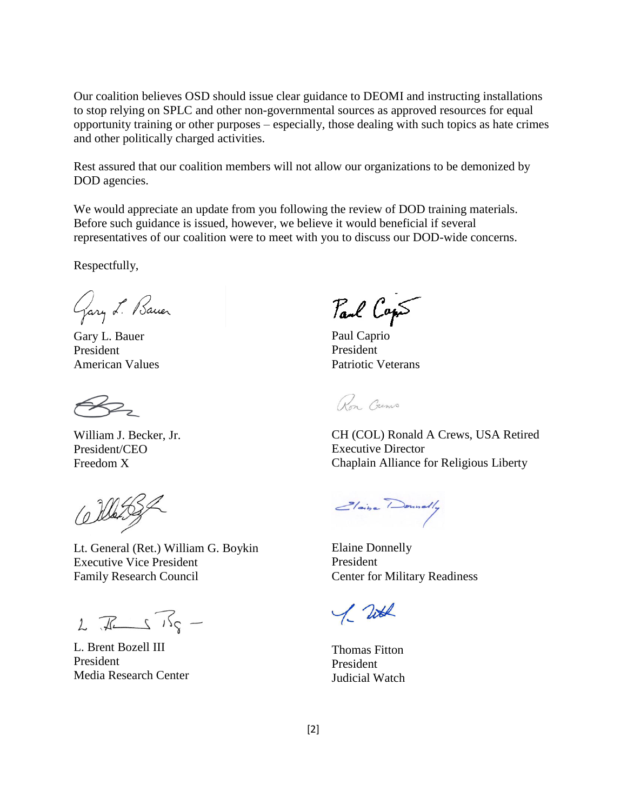Our coalition believes OSD should issue clear guidance to DEOMI and instructing installations to stop relying on SPLC and other non-governmental sources as approved resources for equal opportunity training or other purposes – especially, those dealing with such topics as hate crimes and other politically charged activities.

Rest assured that our coalition members will not allow our organizations to be demonized by DOD agencies.

We would appreciate an update from you following the review of DOD training materials. Before such guidance is issued, however, we believe it would beneficial if several representatives of our coalition were to meet with you to discuss our DOD-wide concerns.

Respectfully,

Gary L. Bauer

Gary L. Bauer President American Values

William J. Becker, Jr. President/CEO Freedom X

Lt. General (Ret.) William G. Boykin Executive Vice President Family Research Council

 $2\sqrt{11}$ 

L. Brent Bozell III President Media Research Center

Paul Caps

Paul Caprio President Patriotic Veterans

Ron. Grems

CH (COL) Ronald A Crews, USA Retired Executive Director Chaplain Alliance for Religious Liberty

Elaine Donnelly

Elaine Donnelly President Center for Military Readiness

1. Total

Thomas Fitton President Judicial Watch